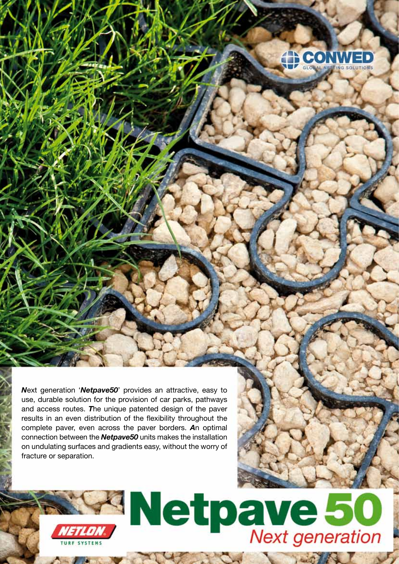

*N*ext generation '*Netpave50*' provides an attractive, easy to use, durable solution for the provision of car parks, pathways and access routes. *T*he unique patented design of the paver results in an even distribution of the flexibility throughout the complete paver, even across the paver borders. *A*n optimal connection between the *Netpave50* units makes the installation on undulating surfaces and gradients easy, without the worry of fracture or separation.



**Committee Committee Committee Committee**